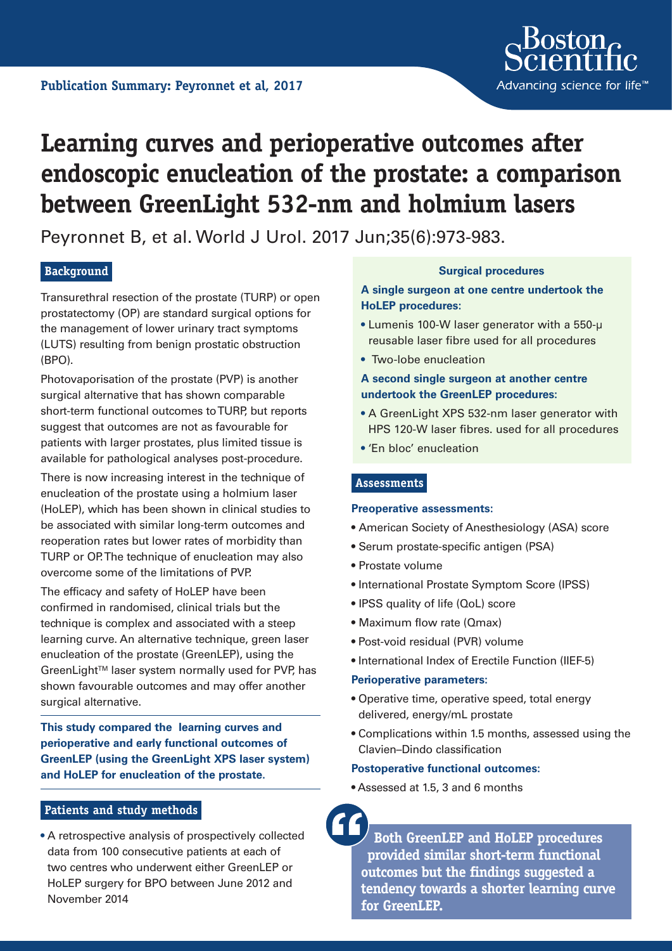

# **Learning curves and perioperative outcomes after endoscopic enucleation of the prostate: a comparison between GreenLight 532‑nm and holmium lasers**

Peyronnet B, et al. World J Urol. 2017 Jun;35(6):973-983.

## **Background**

Transurethral resection of the prostate (TURP) or open prostatectomy (OP) are standard surgical options for the management of lower urinary tract symptoms (LUTS) resulting from benign prostatic obstruction (BPO).

Photovaporisation of the prostate (PVP) is another surgical alternative that has shown comparable short-term functional outcomes to TURP, but reports suggest that outcomes are not as favourable for patients with larger prostates, plus limited tissue is available for pathological analyses post-procedure.

There is now increasing interest in the technique of enucleation of the prostate using a holmium laser (HoLEP), which has been shown in clinical studies to be associated with similar long-term outcomes and reoperation rates but lower rates of morbidity than TURP or OP. The technique of enucleation may also overcome some of the limitations of PVP.

The efficacy and safety of HoLEP have been confirmed in randomised, clinical trials but the technique is complex and associated with a steep learning curve. An alternative technique, green laser enucleation of the prostate (GreenLEP), using the GreenLight™ laser system normally used for PVP, has shown favourable outcomes and may offer another surgical alternative.

**This study compared the learning curves and perioperative and early functional outcomes of GreenLEP (using the GreenLight XPS laser system) and HoLEP for enucleation of the prostate.**

## **Patients and study methods**

• A retrospective analysis of prospectively collected data from 100 consecutive patients at each of two centres who underwent either GreenLEP or HoLEP surgery for BPO between June 2012 and November 2014

## **Surgical procedures**

**A single surgeon at one centre undertook the HoLEP procedures:**

- **•** Lumenis 100-W laser generator with a 550-μ reusable laser fibre used for all procedures
- Two-lobe enucleation

## **A second single surgeon at another centre undertook the GreenLEP procedures:**

- A GreenLight XPS 532-nm laser generator with HPS 120-W laser fibres. used for all procedures
- 'En bloc' enucleation

#### **Assessments**

#### **Preoperative assessments:**

- American Society of Anesthesiology (ASA) score
- Serum prostate-specific antigen (PSA)
- Prostate volume
- **•** International Prostate Symptom Score (IPSS)
- IPSS quality of life (QoL) score
- Maximum flow rate (Qmax)
- Post-void residual (PVR) volume
- International Index of Erectile Function (IIEF-5)

#### **Perioperative parameters:**

- Operative time, operative speed, total energy delivered, energy/mL prostate
- Complications within 1.5 months, assessed using the Clavien–Dindo classification

#### **Postoperative functional outcomes:**

• Assessed at 1.5, 3 and 6 months

**Both GreenLEP and HoLEP procedures provided similar short-term functional outcomes but the findings suggested a tendency towards a shorter learning curve for GreenLEP.**